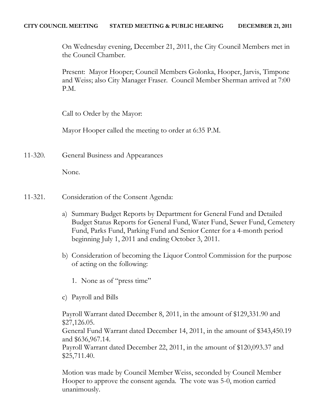On Wednesday evening, December 21, 2011, the City Council Members met in the Council Chamber.

Present: Mayor Hooper; Council Members Golonka, Hooper, Jarvis, Timpone and Weiss; also City Manager Fraser. Council Member Sherman arrived at 7:00 P.M.

Call to Order by the Mayor:

Mayor Hooper called the meeting to order at 6:35 P.M.

11-320. General Business and Appearances

None.

- 11-321. Consideration of the Consent Agenda:
	- a) Summary Budget Reports by Department for General Fund and Detailed Budget Status Reports for General Fund, Water Fund, Sewer Fund, Cemetery Fund, Parks Fund, Parking Fund and Senior Center for a 4-month period beginning July 1, 2011 and ending October 3, 2011.
	- b) Consideration of becoming the Liquor Control Commission for the purpose of acting on the following:
		- 1. None as of "press time"
	- c) Payroll and Bills

Payroll Warrant dated December 8, 2011, in the amount of \$129,331.90 and \$27,126.05. General Fund Warrant dated December 14, 2011, in the amount of \$343,450.19 and \$636,967.14. Payroll Warrant dated December 22, 2011, in the amount of \$120,093.37 and \$25,711.40.

Motion was made by Council Member Weiss, seconded by Council Member Hooper to approve the consent agenda. The vote was 5-0, motion carried unanimously.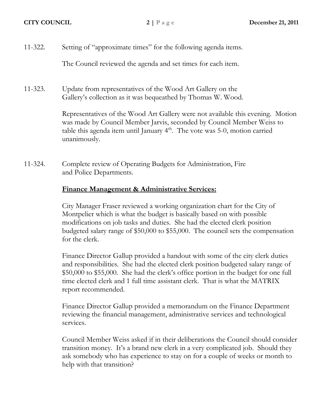11-322. Setting of "approximate times" for the following agenda items.

The Council reviewed the agenda and set times for each item.

11-323. Update from representatives of the Wood Art Gallery on the Gallery's collection as it was bequeathed by Thomas W. Wood.

> Representatives of the Wood Art Gallery were not available this evening. Motion was made by Council Member Jarvis, seconded by Council Member Weiss to table this agenda item until January  $4<sup>th</sup>$ . The vote was 5-0, motion carried unanimously.

11-324. Complete review of Operating Budgets for Administration, Fire and Police Departments.

## **Finance Management & Administrative Services:**

City Manager Fraser reviewed a working organization chart for the City of Montpelier which is what the budget is basically based on with possible modifications on job tasks and duties. She had the elected clerk position budgeted salary range of \$50,000 to \$55,000. The council sets the compensation for the clerk.

Finance Director Gallup provided a handout with some of the city clerk duties and responsibilities. She had the elected clerk position budgeted salary range of \$50,000 to \$55,000. She had the clerk's office portion in the budget for one full time elected clerk and 1 full time assistant clerk. That is what the MATRIX report recommended.

Finance Director Gallup provided a memorandum on the Finance Department reviewing the financial management, administrative services and technological services.

Council Member Weiss asked if in their deliberations the Council should consider transition money. It's a brand new clerk in a very complicated job. Should they ask somebody who has experience to stay on for a couple of weeks or month to help with that transition?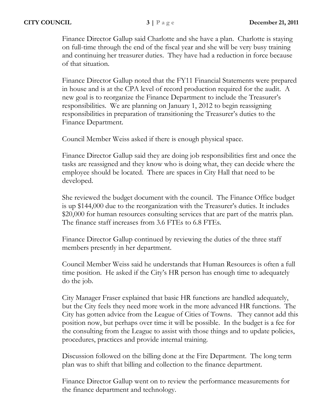Finance Director Gallup said Charlotte and she have a plan. Charlotte is staying on full-time through the end of the fiscal year and she will be very busy training and continuing her treasurer duties. They have had a reduction in force because of that situation.

Finance Director Gallup noted that the FY11 Financial Statements were prepared in house and is at the CPA level of record production required for the audit. A new goal is to reorganize the Finance Department to include the Treasurer's responsibilities. We are planning on January 1, 2012 to begin reassigning responsibilities in preparation of transitioning the Treasurer's duties to the Finance Department.

Council Member Weiss asked if there is enough physical space.

Finance Director Gallup said they are doing job responsibilities first and once the tasks are reassigned and they know who is doing what, they can decide where the employee should be located. There are spaces in City Hall that need to be developed.

She reviewed the budget document with the council. The Finance Office budget is up \$144,000 due to the reorganization with the Treasurer's duties. It includes \$20,000 for human resources consulting services that are part of the matrix plan. The finance staff increases from 3.6 FTEs to 6.8 FTEs.

Finance Director Gallup continued by reviewing the duties of the three staff members presently in her department.

Council Member Weiss said he understands that Human Resources is often a full time position. He asked if the City's HR person has enough time to adequately do the job.

City Manager Fraser explained that basic HR functions are handled adequately, but the City feels they need more work in the more advanced HR functions. The City has gotten advice from the League of Cities of Towns. They cannot add this position now, but perhaps over time it will be possible. In the budget is a fee for the consulting from the League to assist with those things and to update policies, procedures, practices and provide internal training.

Discussion followed on the billing done at the Fire Department. The long term plan was to shift that billing and collection to the finance department.

Finance Director Gallup went on to review the performance measurements for the finance department and technology.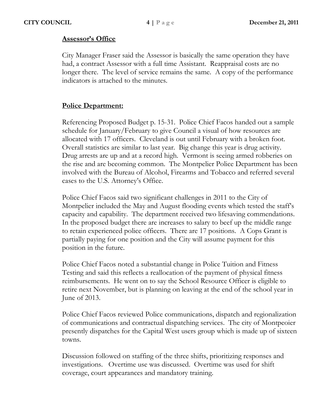## **Assessor's Office**

City Manager Fraser said the Assessor is basically the same operation they have had, a contract Assessor with a full time Assistant. Reappraisal costs are no longer there. The level of service remains the same. A copy of the performance indicators is attached to the minutes.

## **Police Department:**

Referencing Proposed Budget p. 15-31. Police Chief Facos handed out a sample schedule for January/February to give Council a visual of how resources are allocated with 17 officers. Cleveland is out until February with a broken foot. Overall statistics are similar to last year. Big change this year is drug activity. Drug arrests are up and at a record high. Vermont is seeing armed robberies on the rise and are becoming common. The Montpelier Police Department has been involved with the Bureau of Alcohol, Firearms and Tobacco and referred several cases to the U.S. Attorney's Office.

Police Chief Facos said two significant challenges in 2011 to the City of Montpelier included the May and August flooding events which tested the staff's capacity and capability. The department received two lifesaving commendations. In the proposed budget there are increases to salary to beef up the middle range to retain experienced police officers. There are 17 positions. A Cops Grant is partially paying for one position and the City will assume payment for this position in the future.

Police Chief Facos noted a substantial change in Police Tuition and Fitness Testing and said this reflects a reallocation of the payment of physical fitness reimbursements. He went on to say the School Resource Officer is eligible to retire next November, but is planning on leaving at the end of the school year in June of 2013.

Police Chief Facos reviewed Police communications, dispatch and regionalization of communications and contractual dispatching services. The city of Montpeoier presently dispatches for the Capital West users group which is made up of sixteen towns.

Discussion followed on staffing of the three shifts, prioritizing responses and investigations. Overtime use was discussed. Overtime was used for shift coverage, court appearances and mandatory training.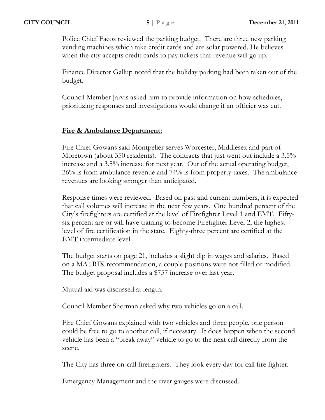Police Chief Facos reviewed the parking budget. There are three new parking vending machines which take credit cards and are solar powered. He believes when the city accepts credit cards to pay tickets that revenue will go up.

Finance Director Gallup noted that the holiday parking had been taken out of the budget.

Council Member Jarvis asked him to provide information on how schedules, prioritizing responses and investigations would change if an officier was cut.

## **Fire & Ambulance Department:**

Fire Chief Gowans said Montpelier serves Worcester, Middlesex and part of Moretown (about 350 residents). The contracts that just went out include a 3.5% increase and a 3.5% increase for next year. Out of the actual operating budget, 26% is from ambulance revenue and 74% is from property taxes. The ambulance revenues are looking stronger than anticipated.

Response times were reviewed. Based on past and current numbers, it is expected that call volumes will increase in the next few years. One hundred percent of the City's firefighters are certified at the level of Firefighter Level 1 and EMT. Fiftysix percent are or will have training to become Firefighter Level 2, the highest level of fire certification in the state. Eighty-three percent are certified at the EMT intermediate level.

The budget starts on page 21, includes a slight dip in wages and salaries. Based on a MATRIX recommendation, a couple positions were not filled or modified. The budget proposal includes a \$757 increase over last year.

Mutual aid was discussed at length.

Council Member Sherman asked why two vehicles go on a call.

Fire Chief Gowans explained with two vehicles and three people, one person could be free to go to another call, if necessary. It does happen when the second vehicle has been a "break away" vehicle to go to the next call directly from the scene.

The City has three on-call firefighters. They look every day for call fire fighter.

Emergency Management and the river gauges were discussed.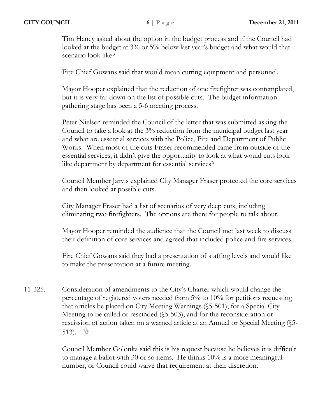Tim Heney asked about the option in the budget process and if the Council had looked at the budget at 3% or 5% below last year's budget and what would that scenario look like?

Fire Chief Gowans said that would mean cutting equipment and personnel. .

Mayor Hooper explained that the reduction of one firefighter was contemplated, but it is very far down on the list of possible cuts. The budget information gathering stage has been a 5-6 meeting process.

Peter Nielsen reminded the Council of the letter that was submitted asking the Council to take a look at the 3% reduction from the municipal budget last year and what are essential services with the Police, Fire and Department of Public Works. When most of the cuts Fraser recommended came from outside of the essential services, it didn't give the opportunity to look at what would cuts look like department by department for essential services?

Council Member Jarvis explained City Manager Fraser protected the core services and then looked at possible cuts.

City Manager Fraser had a list of scenarios of very deep cuts, including eliminating two firefighters. The options are there for people to talk about.

Mayor Hooper reminded the audience that the Council met last week to discuss their definition of core services and agreed that included police and fire services.

Fire Chief Gowans said they had a presentation of staffing levels and would like to make the presentation at a future meeting.

11-325. Consideration of amendments to the City's Charter which would change the percentage of registered voters needed from 5% to 10% for petitions requesting that articles be placed on City Meeting Warnings (§5-501); for a Special City Meeting to be called or rescinded (§5-503); and for the reconsideration or rescission of action taken on a warned article at an Annual or Special Meeting (§5- 513).  $\circ$ 

> Council Member Golonka said this is his request because he believes it is difficult to manage a ballot with 30 or so items. He thinks 10% is a more meaningful number, or Council could waive that requirement at their discretion.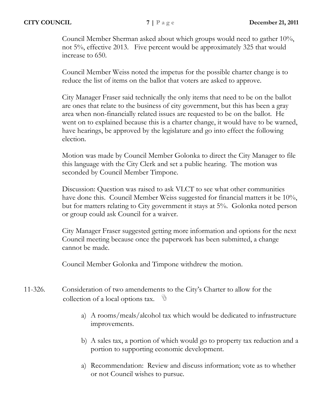Council Member Sherman asked about which groups would need to gather 10%, not 5%, effective 2013. Five percent would be approximately 325 that would increase to 650.

Council Member Weiss noted the impetus for the possible charter change is to reduce the list of items on the ballot that voters are asked to approve.

City Manager Fraser said technically the only items that need to be on the ballot are ones that relate to the business of city government, but this has been a gray area when non-financially related issues are requested to be on the ballot. He went on to explained because this is a charter change, it would have to be warned, have hearings, be approved by the legislature and go into effect the following election.

Motion was made by Council Member Golonka to direct the City Manager to file this language with the City Clerk and set a public hearing. The motion was seconded by Council Member Timpone.

Discussion: Question was raised to ask VLCT to see what other communities have done this. Council Member Weiss suggested for financial matters it be 10%, but for matters relating to City government it stays at 5%. Golonka noted person or group could ask Council for a waiver.

City Manager Fraser suggested getting more information and options for the next Council meeting because once the paperwork has been submitted, a change cannot be made.

Council Member Golonka and Timpone withdrew the motion.

- 11-326. Consideration of two amendements to the City's Charter to allow for the collection of a local options tax. - 10
	- a) A rooms/meals/alcohol tax which would be dedicated to infrastructure improvements.
	- b) A sales tax, a portion of which would go to property tax reduction and a portion to supporting economic development.
	- a) Recommendation: Review and discuss information; vote as to whether or not Council wishes to pursue.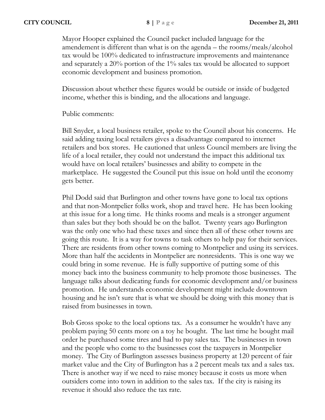Mayor Hooper explained the Council packet included language for the amendement is different than what is on the agenda – the rooms/meals/alcohol tax would be 100% dedicated to infrastructure improvements and maintenance and separately a 20% portion of the 1% sales tax would be allocated to support economic development and business promotion.

Discussion about whether these figures would be outside or inside of budgeted income, whether this is binding, and the allocations and language.

Public comments:

Bill Snyder, a local business retailer, spoke to the Council about his concerns. He said adding taxing local retailers gives a disadvantage compared to internet retailers and box stores. He cautioned that unless Council members are living the life of a local retailer, they could not understand the impact this additional tax would have on local retailers' businesses and ability to compete in the marketplace. He suggested the Council put this issue on hold until the economy gets better.

Phil Dodd said that Burlington and other towns have gone to local tax options and that non-Montpelier folks work, shop and travel here. He has been looking at this issue for a long time. He thinks rooms and meals is a stronger argument than sales but they both should be on the ballot. Twenty years ago Burlington was the only one who had these taxes and since then all of these other towns are going this route. It is a way for towns to task others to help pay for their services. There are residents from other towns coming to Montpelier and using its services. More than half the accidents in Montpelier are nonresidents. This is one way we could bring in some revenue. He is fully supportive of putting some of this money back into the business community to help promote those businesses. The language talks about dedicating funds for economic development and/or business promotion. He understands economic development might include downtown housing and he isn't sure that is what we should be doing with this money that is raised from businesses in town.

Bob Gross spoke to the local options tax. As a consumer he wouldn't have any problem paying 50 cents more on a toy he bought. The last time he bought mail order he purchased some tires and had to pay sales tax. The businesses in town and the people who come to the businesses cost the taxpayers in Montpelier money. The City of Burlington assesses business property at 120 percent of fair market value and the City of Burlington has a 2 percent meals tax and a sales tax. There is another way if we need to raise money because it costs us more when outsiders come into town in addition to the sales tax. If the city is raising its revenue it should also reduce the tax rate.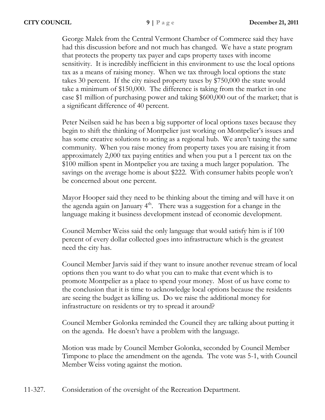George Malek from the Central Vermont Chamber of Commerce said they have had this discussion before and not much has changed. We have a state program that protects the property tax payer and caps property taxes with income sensitivity. It is incredibly inefficient in this environment to use the local options tax as a means of raising money. When we tax through local options the state takes 30 percent. If the city raised property taxes by \$750,000 the state would take a minimum of \$150,000. The difference is taking from the market in one case \$1 million of purchasing power and taking \$600,000 out of the market; that is a significant difference of 40 percent.

Peter Neilsen said he has been a big supporter of local options taxes because they begin to shift the thinking of Montpelier just working on Montpelier's issues and has some creative solutions to acting as a regional hub. We aren't taxing the same community. When you raise money from property taxes you are raising it from approximately 2,000 tax paying entities and when you put a 1 percent tax on the \$100 million spent in Montpelier you are taxing a much larger population. The savings on the average home is about \$222. With consumer habits people won't be concerned about one percent.

Mayor Hooper said they need to be thinking about the timing and will have it on the agenda again on January  $4<sup>th</sup>$ . There was a suggestion for a change in the language making it business development instead of economic development.

Council Member Weiss said the only language that would satisfy him is if 100 percent of every dollar collected goes into infrastructure which is the greatest need the city has.

Council Member Jarvis said if they want to insure another revenue stream of local options then you want to do what you can to make that event which is to promote Montpelier as a place to spend your money. Most of us have come to the conclusion that it is time to acknowledge local options because the residents are seeing the budget as killing us. Do we raise the additional money for infrastructure on residents or try to spread it around?

Council Member Golonka reminded the Council they are talking about putting it on the agenda. He doesn't have a problem with the language.

Motion was made by Council Member Golonka, seconded by Council Member Timpone to place the amendment on the agenda. The vote was 5-1, with Council Member Weiss voting against the motion.

11-327. Consideration of the oversight of the Recreation Department.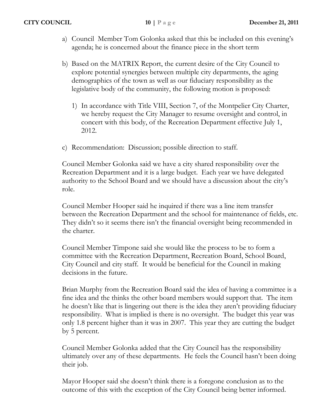- a) Council Member Tom Golonka asked that this be included on this evening's agenda; he is concerned about the finance piece in the short term
- b) Based on the MATRIX Report, the current desire of the City Council to explore potential synergies between multiple city departments, the aging demographics of the town as well as our fiduciary responsibility as the legislative body of the community, the following motion is proposed:
	- 1) In accordance with Title VIII, Section 7, of the Montpelier City Charter, we hereby request the City Manager to resume oversight and control, in concert with this body, of the Recreation Department effective July 1, 2012.
- c) Recommendation: Discussion; possible direction to staff.

Council Member Golonka said we have a city shared responsibility over the Recreation Department and it is a large budget. Each year we have delegated authority to the School Board and we should have a discussion about the city's role.

Council Member Hooper said he inquired if there was a line item transfer between the Recreation Department and the school for maintenance of fields, etc. They didn't so it seems there isn't the financial oversight being recommended in the charter.

Council Member Timpone said she would like the process to be to form a committee with the Recreation Department, Recreation Board, School Board, City Council and city staff. It would be beneficial for the Council in making decisions in the future.

Brian Murphy from the Recreation Board said the idea of having a committee is a fine idea and the thinks the other board members would support that. The item he doesn't like that is lingering out there is the idea they aren't providing fiduciary responsibility. What is implied is there is no oversight. The budget this year was only 1.8 percent higher than it was in 2007. This year they are cutting the budget by 5 percent.

Council Member Golonka added that the City Council has the responsibility ultimately over any of these departments. He feels the Council hasn't been doing their job.

Mayor Hooper said she doesn't think there is a foregone conclusion as to the outcome of this with the exception of the City Council being better informed.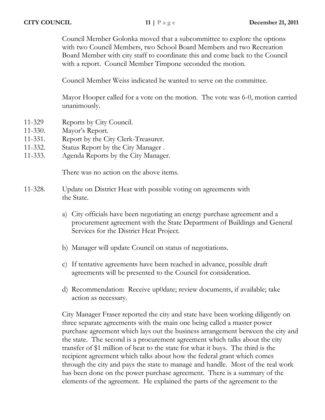Council Member Golonka moved that a subcommittee to explore the options with two Council Members, two School Board Members and two Recreation Board Member with city staff to coordinate this and come back to the Council with a report. Council Member Timpone seconded the motion.

Council Member Weiss indicated he wanted to serve on the committee.

Mayor Hooper called for a vote on the motion. The vote was 6-0, motion carried unanimously.

- 11-329 Reports by City Council.
- 11-330. Mayor's Report.
- 11-331. Report by the City Clerk-Treasurer.
- 11-332. Status Report by the City Manager .
- 11-333. Agenda Reports by the City Manager.

There was no action on the above items.

- 11-328. Update on District Heat with possible voting on agreements with the State.
	- a) City officials have been negotiating an energy purchase agreement and a procurement agreement with the State Department of Buildings and General Services for the District Heat Project.
	- b) Manager will update Council on status of negotiations.
	- c) If tentative agreements have been reached in advance, possible draft agreements will be presented to the Council for consideration.
	- d) Recommendation: Receive up0date; review documents, if available; take action as necessary.

City Manager Fraser reported the city and state have been working diligently on three separate agreements with the main one being called a master power purchase agreement which lays out the business arrangement between the city and the state. The second is a procurement agreement which talks about the city transfer of \$1 million of heat to the state for what it buys. The third is the recipient agreement which talks about how the federal grant which comes through the city and pays the state to manage and handle. Most of the real work has been done on the power purchase agreement. There is a summary of the elements of the agreement. He explained the parts of the agreement to the